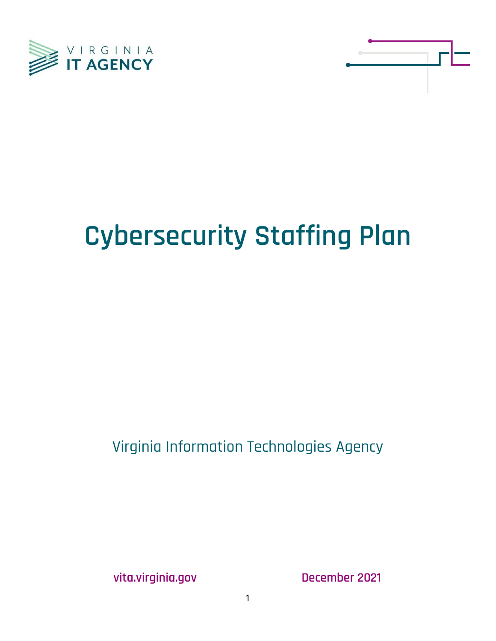



# **Cybersecurity Staffing Plan**

Virginia Information Technologies Agency

**vita.virginia.gov December 2021**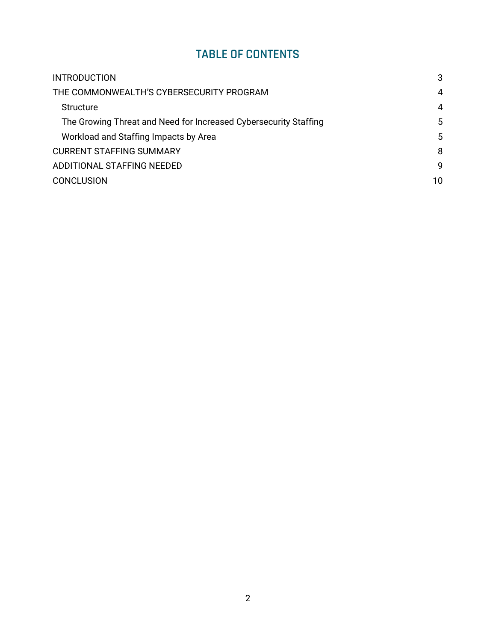# **TABLE OF CONTENTS**

| <b>INTRODUCTION</b>                                              | 3  |  |  |
|------------------------------------------------------------------|----|--|--|
| THE COMMONWEALTH'S CYBERSECURITY PROGRAM                         |    |  |  |
| <b>Structure</b>                                                 | 4  |  |  |
| The Growing Threat and Need for Increased Cybersecurity Staffing | 5  |  |  |
| Workload and Staffing Impacts by Area                            | 5  |  |  |
| <b>CURRENT STAFFING SUMMARY</b>                                  | 8  |  |  |
| ADDITIONAL STAFFING NEEDED                                       | 9  |  |  |
| <b>CONCLUSION</b>                                                | 10 |  |  |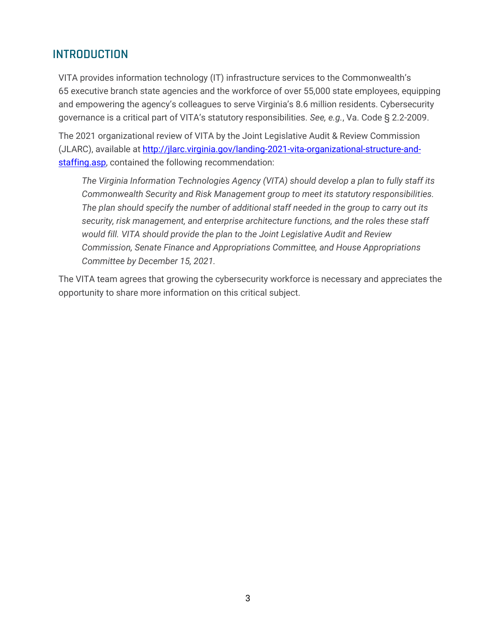## <span id="page-2-0"></span>**INTRODUCTION**

VITA provides information technology (IT) infrastructure services to the Commonwealth's 65 executive branch state agencies and the workforce of over 55,000 state employees, equipping and empowering the agency's colleagues to serve Virginia's 8.6 million residents. Cybersecurity governance is a critical part of VITA's statutory responsibilities. *See, e.g.*, Va. Code § 2.2-2009.

The 2021 organizational review of VITA by the Joint Legislative Audit & Review Commission (JLARC), available at [http://jlarc.virginia.gov/landing-2021-vita-organizational-structure-and](http://jlarc.virginia.gov/landing-2021-vita-organizational-structure-and-staffing.asp)[staffing.asp,](http://jlarc.virginia.gov/landing-2021-vita-organizational-structure-and-staffing.asp) contained the following recommendation:

*The Virginia Information Technologies Agency (VITA) should develop a plan to fully staff its Commonwealth Security and Risk Management group to meet its statutory responsibilities. The plan should specify the number of additional staff needed in the group to carry out its security, risk management, and enterprise architecture functions, and the roles these staff would fill. VITA should provide the plan to the Joint Legislative Audit and Review Commission, Senate Finance and Appropriations Committee, and House Appropriations Committee by December 15, 2021.*

The VITA team agrees that growing the cybersecurity workforce is necessary and appreciates the opportunity to share more information on this critical subject.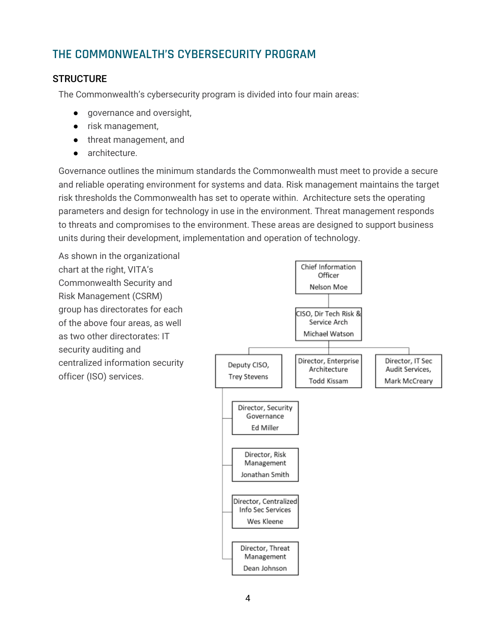# <span id="page-3-0"></span>**THE COMMONWEALTH'S CYBERSECURITY PROGRAM**

## <span id="page-3-1"></span>**STRUCTURE**

The Commonwealth's cybersecurity program is divided into four main areas:

- governance and oversight,
- risk management,
- threat management, and
- architecture.

Governance outlines the minimum standards the Commonwealth must meet to provide a secure and reliable operating environment for systems and data. Risk management maintains the target risk thresholds the Commonwealth has set to operate within. Architecture sets the operating parameters and design for technology in use in the environment. Threat management responds to threats and compromises to the environment. These areas are designed to support business units during their development, implementation and operation of technology.

As shown in the organizational chart at the right, VITA's Commonwealth Security and Risk Management (CSRM) group has directorates for each of the above four areas, as well as two other directorates: IT security auditing and centralized information security officer (ISO) services.

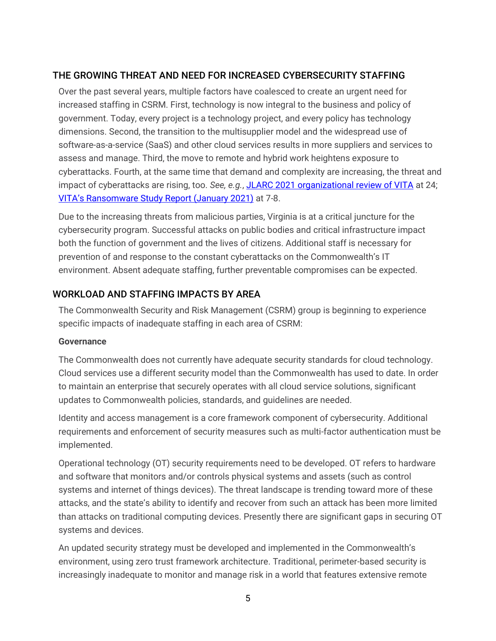## <span id="page-4-0"></span>THE GROWING THREAT AND NEED FOR INCREASED CYBERSECURITY STAFFING

Over the past several years, multiple factors have coalesced to create an urgent need for increased staffing in CSRM. First, technology is now integral to the business and policy of government. Today, every project is a technology project, and every policy has technology dimensions. Second, the transition to the multisupplier model and the widespread use of software-as-a-service (SaaS) and other cloud services results in more suppliers and services to assess and manage. Third, the move to remote and hybrid work heightens exposure to cyberattacks. Fourth, at the same time that demand and complexity are increasing, the threat and impact of cyberattacks are rising, too. *See, e.g.*, [JLARC 2021 organizational review of VITA](http://jlarc.virginia.gov/pdfs/reports/Rpt552.pdf) at 24; [VITA's Ransomware Study Repor](https://rga.lis.virginia.gov/Published/2021/HD4/PDF)t (January 2021) at 7-8.

Due to the increasing threats from malicious parties, Virginia is at a critical juncture for the cybersecurity program. Successful attacks on public bodies and critical infrastructure impact both the function of government and the lives of citizens. Additional staff is necessary for prevention of and response to the constant cyberattacks on the Commonwealth's IT environment. Absent adequate staffing, further preventable compromises can be expected.

### <span id="page-4-1"></span>WORKLOAD AND STAFFING IMPACTS BY AREA

The Commonwealth Security and Risk Management (CSRM) group is beginning to experience specific impacts of inadequate staffing in each area of CSRM:

#### **Governance**

The Commonwealth does not currently have adequate security standards for cloud technology. Cloud services use a different security model than the Commonwealth has used to date. In order to maintain an enterprise that securely operates with all cloud service solutions, significant updates to Commonwealth policies, standards, and guidelines are needed.

Identity and access management is a core framework component of cybersecurity. Additional requirements and enforcement of security measures such as multi-factor authentication must be implemented.

Operational technology (OT) security requirements need to be developed. OT refers to hardware and software that monitors and/or controls physical systems and assets (such as control systems and internet of things devices). The threat landscape is trending toward more of these attacks, and the state's ability to identify and recover from such an attack has been more limited than attacks on traditional computing devices. Presently there are significant gaps in securing OT systems and devices.

An updated security strategy must be developed and implemented in the Commonwealth's environment, using zero trust framework architecture. Traditional, perimeter-based security is increasingly inadequate to monitor and manage risk in a world that features extensive remote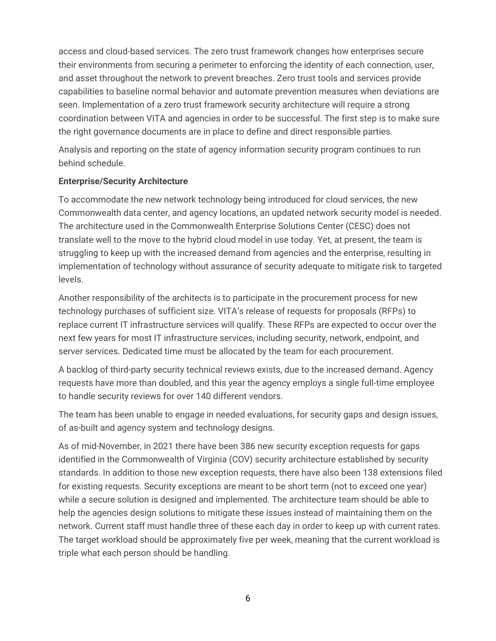access and cloud-based services. The zero trust framework changes how enterprises secure their environments from securing a perimeter to enforcing the identity of each connection, user, and asset throughout the network to prevent breaches. Zero trust tools and services provide capabilities to baseline normal behavior and automate prevention measures when deviations are seen. Implementation of a zero trust framework security architecture will require a strong coordination between VITA and agencies in order to be successful. The first step is to make sure the right governance documents are in place to define and direct responsible parties.

Analysis and reporting on the state of agency information security program continues to run behind schedule.

#### **Enterprise/Security Architecture**

To accommodate the new network technology being introduced for cloud services, the new Commonwealth data center, and agency locations, an updated network security model is needed. The architecture used in the Commonwealth Enterprise Solutions Center (CESC) does not translate well to the move to the hybrid cloud model in use today. Yet, at present, the team is struggling to keep up with the increased demand from agencies and the enterprise, resulting in implementation of technology without assurance of security adequate to mitigate risk to targeted levels.

Another responsibility of the architects is to participate in the procurement process for new technology purchases of sufficient size. VITA's release of requests for proposals (RFPs) to replace current IT infrastructure services will qualify. These RFPs are expected to occur over the next few years for most IT infrastructure services, including security, network, endpoint, and server services. Dedicated time must be allocated by the team for each procurement.

A backlog of third-party security technical reviews exists, due to the increased demand. Agency requests have more than doubled, and this year the agency employs a single full-time employee to handle security reviews for over 140 different vendors.

The team has been unable to engage in needed evaluations, for security gaps and design issues, of as-built and agency system and technology designs.

As of mid-November, in 2021 there have been 386 new security exception requests for gaps identified in the Commonwealth of Virginia (COV) security architecture established by security standards. In addition to those new exception requests, there have also been 138 extensions filed for existing requests. Security exceptions are meant to be short term (not to exceed one year) while a secure solution is designed and implemented. The architecture team should be able to help the agencies design solutions to mitigate these issues instead of maintaining them on the network. Current staff must handle three of these each day in order to keep up with current rates. The target workload should be approximately five per week, meaning that the current workload is triple what each person should be handling.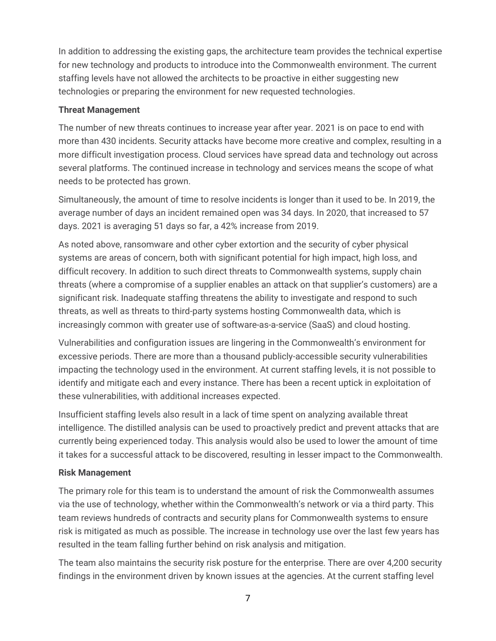In addition to addressing the existing gaps, the architecture team provides the technical expertise for new technology and products to introduce into the Commonwealth environment. The current staffing levels have not allowed the architects to be proactive in either suggesting new technologies or preparing the environment for new requested technologies.

#### **Threat Management**

The number of new threats continues to increase year after year. 2021 is on pace to end with more than 430 incidents. Security attacks have become more creative and complex, resulting in a more difficult investigation process. Cloud services have spread data and technology out across several platforms. The continued increase in technology and services means the scope of what needs to be protected has grown.

Simultaneously, the amount of time to resolve incidents is longer than it used to be. In 2019, the average number of days an incident remained open was 34 days. In 2020, that increased to 57 days. 2021 is averaging 51 days so far, a 42% increase from 2019.

As noted above, ransomware and other cyber extortion and the security of cyber physical systems are areas of concern, both with significant potential for high impact, high loss, and difficult recovery. In addition to such direct threats to Commonwealth systems, supply chain threats (where a compromise of a supplier enables an attack on that supplier's customers) are a significant risk. Inadequate staffing threatens the ability to investigate and respond to such threats, as well as threats to third-party systems hosting Commonwealth data, which is increasingly common with greater use of software-as-a-service (SaaS) and cloud hosting.

Vulnerabilities and configuration issues are lingering in the Commonwealth's environment for excessive periods. There are more than a thousand publicly-accessible security vulnerabilities impacting the technology used in the environment. At current staffing levels, it is not possible to identify and mitigate each and every instance. There has been a recent uptick in exploitation of these vulnerabilities, with additional increases expected.

Insufficient staffing levels also result in a lack of time spent on analyzing available threat intelligence. The distilled analysis can be used to proactively predict and prevent attacks that are currently being experienced today. This analysis would also be used to lower the amount of time it takes for a successful attack to be discovered, resulting in lesser impact to the Commonwealth.

#### **Risk Management**

The primary role for this team is to understand the amount of risk the Commonwealth assumes via the use of technology, whether within the Commonwealth's network or via a third party. This team reviews hundreds of contracts and security plans for Commonwealth systems to ensure risk is mitigated as much as possible. The increase in technology use over the last few years has resulted in the team falling further behind on risk analysis and mitigation.

The team also maintains the security risk posture for the enterprise. There are over 4,200 security findings in the environment driven by known issues at the agencies. At the current staffing level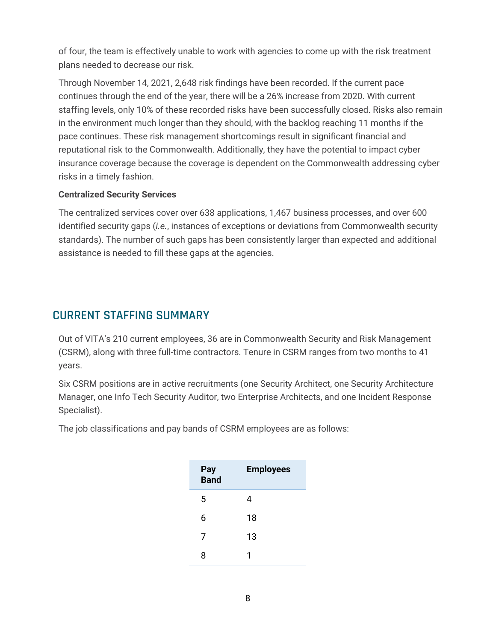of four, the team is effectively unable to work with agencies to come up with the risk treatment plans needed to decrease our risk.

Through November 14, 2021, 2,648 risk findings have been recorded. If the current pace continues through the end of the year, there will be a 26% increase from 2020. With current staffing levels, only 10% of these recorded risks have been successfully closed. Risks also remain in the environment much longer than they should, with the backlog reaching 11 months if the pace continues. These risk management shortcomings result in significant financial and reputational risk to the Commonwealth. Additionally, they have the potential to impact cyber insurance coverage because the coverage is dependent on the Commonwealth addressing cyber risks in a timely fashion.

#### **Centralized Security Services**

The centralized services cover over 638 applications, 1,467 business processes, and over 600 identified security gaps (*i.e.*, instances of exceptions or deviations from Commonwealth security standards). The number of such gaps has been consistently larger than expected and additional assistance is needed to fill these gaps at the agencies.

## <span id="page-7-0"></span>**CURRENT STAFFING SUMMARY**

Out of VITA's 210 current employees, 36 are in Commonwealth Security and Risk Management (CSRM), along with three full-time contractors. Tenure in CSRM ranges from two months to 41 years.

Six CSRM positions are in active recruitments (one Security Architect, one Security Architecture Manager, one Info Tech Security Auditor, two Enterprise Architects, and one Incident Response Specialist).

The job classifications and pay bands of CSRM employees are as follows:

| Pay<br>Band | <b>Employees</b> |
|-------------|------------------|
| 5           | 4                |
| 6           | 18               |
| 7           | 13               |
| ጸ           | 1                |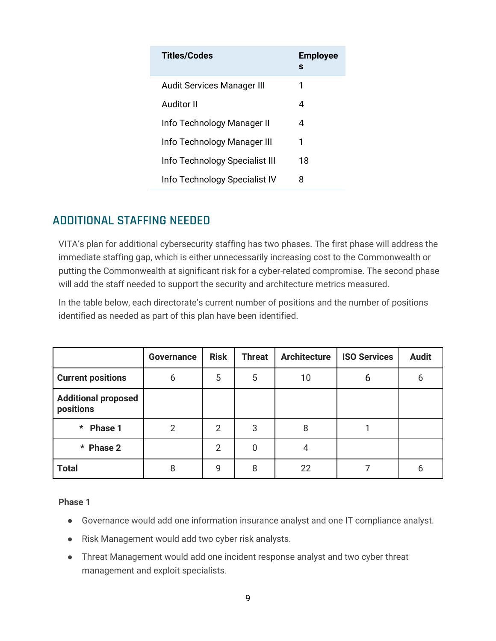| Titles/Codes                   | <b>Employee</b><br>s |
|--------------------------------|----------------------|
| Audit Services Manager III     | 1                    |
| Auditor II                     | 4                    |
| Info Technology Manager II     | 4                    |
| Info Technology Manager III    | 1                    |
| Info Technology Specialist III | 18                   |
| Info Technology Specialist IV  | 8                    |

## <span id="page-8-0"></span>**ADDITIONAL STAFFING NEEDED**

VITA's plan for additional cybersecurity staffing has two phases. The first phase will address the immediate staffing gap, which is either unnecessarily increasing cost to the Commonwealth or putting the Commonwealth at significant risk for a cyber-related compromise. The second phase will add the staff needed to support the security and architecture metrics measured.

In the table below, each directorate's current number of positions and the number of positions identified as needed as part of this plan have been identified.

|                                         | Governance     | <b>Risk</b>    | <b>Threat</b> | <b>Architecture</b> | <b>ISO Services</b> | <b>Audit</b> |
|-----------------------------------------|----------------|----------------|---------------|---------------------|---------------------|--------------|
| <b>Current positions</b>                | 6              | 5              | 5             | 10                  | 6                   | 6            |
| <b>Additional proposed</b><br>positions |                |                |               |                     |                     |              |
| $\star$<br>Phase 1                      | $\overline{2}$ | 2              | 3             | 8                   |                     |              |
| * Phase 2                               |                | $\overline{2}$ | 0             | 4                   |                     |              |
| <b>Total</b>                            | 8              | 9              | 8             | 22                  |                     | ხ            |

**Phase 1**

- Governance would add one information insurance analyst and one IT compliance analyst.
- Risk Management would add two cyber risk analysts.
- Threat Management would add one incident response analyst and two cyber threat management and exploit specialists.